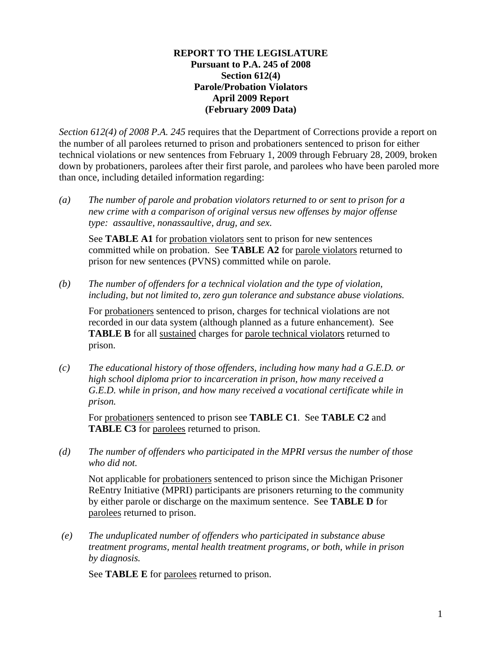### **REPORT TO THE LEGISLATURE Pursuant to P.A. 245 of 2008 Section 612(4) Parole/Probation Violators April 2009 Report (February 2009 Data)**

*Section 612(4) of 2008 P.A. 245* requires that the Department of Corrections provide a report on the number of all parolees returned to prison and probationers sentenced to prison for either technical violations or new sentences from February 1, 2009 through February 28, 2009, broken down by probationers, parolees after their first parole, and parolees who have been paroled more than once, including detailed information regarding:

*(a) The number of parole and probation violators returned to or sent to prison for a new crime with a comparison of original versus new offenses by major offense type: assaultive, nonassaultive, drug, and sex.* 

See **TABLE A1** for probation violators sent to prison for new sentences committed while on probation. See **TABLE A2** for parole violators returned to prison for new sentences (PVNS) committed while on parole.

*(b) The number of offenders for a technical violation and the type of violation, including, but not limited to, zero gun tolerance and substance abuse violations.* 

For probationers sentenced to prison, charges for technical violations are not recorded in our data system (although planned as a future enhancement). See **TABLE B** for all sustained charges for parole technical violators returned to prison.

*(c) The educational history of those offenders, including how many had a G.E.D. or high school diploma prior to incarceration in prison, how many received a G.E.D. while in prison, and how many received a vocational certificate while in prison.* 

For probationers sentenced to prison see **TABLE C1**. See **TABLE C2** and **TABLE C3** for parolees returned to prison.

*(d) The number of offenders who participated in the MPRI versus the number of those who did not.* 

Not applicable for probationers sentenced to prison since the Michigan Prisoner ReEntry Initiative (MPRI) participants are prisoners returning to the community by either parole or discharge on the maximum sentence. See **TABLE D** for parolees returned to prison.

 *(e) The unduplicated number of offenders who participated in substance abuse treatment programs, mental health treatment programs, or both, while in prison by diagnosis.* 

See **TABLE E** for parolees returned to prison.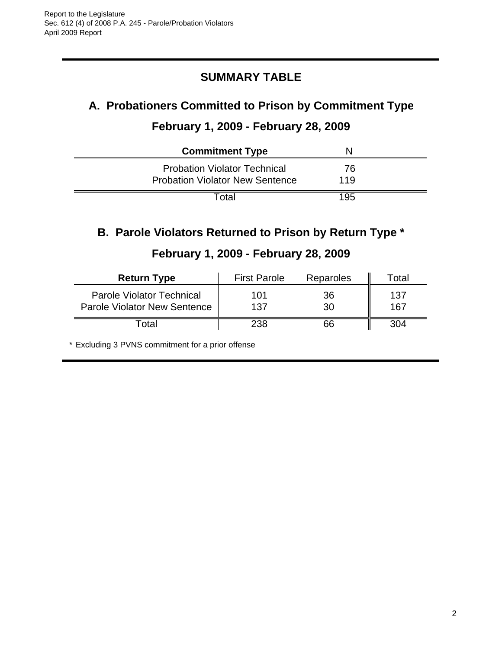## **SUMMARY TABLE**

## **A. Probationers Committed to Prison by Commitment Type**

## **February 1, 2009 - February 28, 2009**

| <b>Commitment Type</b>                 |     |  |
|----------------------------------------|-----|--|
| <b>Probation Violator Technical</b>    | 76  |  |
| <b>Probation Violator New Sentence</b> | 119 |  |
| Total                                  | 195 |  |

## **B. Parole Violators Returned to Prison by Return Type \***

## **February 1, 2009 - February 28, 2009**

| <b>Return Type</b>                                                      | <b>First Parole</b> | Reparoles | Total      |
|-------------------------------------------------------------------------|---------------------|-----------|------------|
| <b>Parole Violator Technical</b><br><b>Parole Violator New Sentence</b> | 101<br>137          | 36<br>30  | 137<br>167 |
| <sup>-</sup> otal                                                       | 238                 | 66        | 304        |

\* Excluding 3 PVNS commitment for a prior offense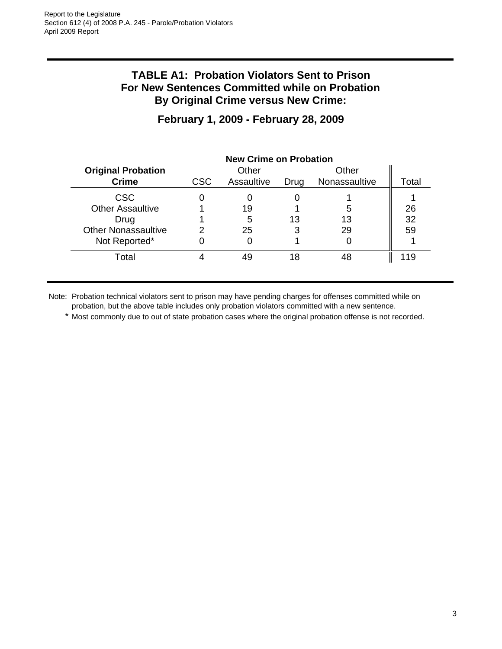## **TABLE A1: Probation Violators Sent to Prison For New Sentences Committed while on Probation By Original Crime versus New Crime:**

|                            | <b>New Crime on Probation</b> |            |      |               |       |
|----------------------------|-------------------------------|------------|------|---------------|-------|
| <b>Original Probation</b>  |                               | Other      |      | Other         |       |
| <b>Crime</b>               | <b>CSC</b>                    | Assaultive | Drug | Nonassaultive | Total |
| <b>CSC</b>                 |                               |            |      |               |       |
| <b>Other Assaultive</b>    |                               | 19         |      |               | 26    |
| Drug                       |                               | 5          | 13   | 13            | 32    |
| <b>Other Nonassaultive</b> |                               | 25         | 3    | 29            | 59    |
| Not Reported*              |                               |            |      |               |       |
| Total                      |                               | 49         | 18   | 48            | 119   |

## **February 1, 2009 - February 28, 2009**

Note: Probation technical violators sent to prison may have pending charges for offenses committed while on probation, but the above table includes only probation violators committed with a new sentence.

\* Most commonly due to out of state probation cases where the original probation offense is not recorded.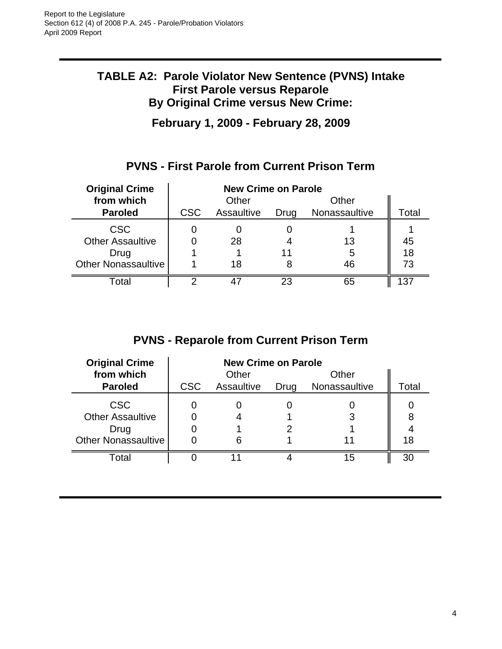## **TABLE A2: Parole Violator New Sentence (PVNS) Intake First Parole versus Reparole By Original Crime versus New Crime:**

**February 1, 2009 - February 28, 2009**

## **PVNS - First Parole from Current Prison Term**

| <b>Original Crime</b>      | <b>New Crime on Parole</b> |            |      |               |       |
|----------------------------|----------------------------|------------|------|---------------|-------|
| from which                 |                            | Other      |      | Other         |       |
| <b>Paroled</b>             | <b>CSC</b>                 | Assaultive | Drug | Nonassaultive | Total |
| <b>CSC</b>                 |                            |            |      |               |       |
| <b>Other Assaultive</b>    |                            | 28         |      | 13            | 45    |
| Drug                       |                            |            | 11   | 5             | 18    |
| <b>Other Nonassaultive</b> |                            | 18         |      | 46            | 73    |
| Гоtal                      |                            |            | 23   | 65            | 37    |

## **PVNS - Reparole from Current Prison Term**

| <b>Original Crime</b>                                                       | <b>New Crime on Parole</b> |            |      |               |         |
|-----------------------------------------------------------------------------|----------------------------|------------|------|---------------|---------|
| from which                                                                  |                            | Other      |      | Other         |         |
| <b>Paroled</b>                                                              | <b>CSC</b>                 | Assaultive | Drug | Nonassaultive | Total   |
| <b>CSC</b><br><b>Other Assaultive</b><br>Drug<br><b>Other Nonassaultive</b> |                            |            |      |               | 8<br>18 |
| Total                                                                       |                            |            |      | 15            | 30      |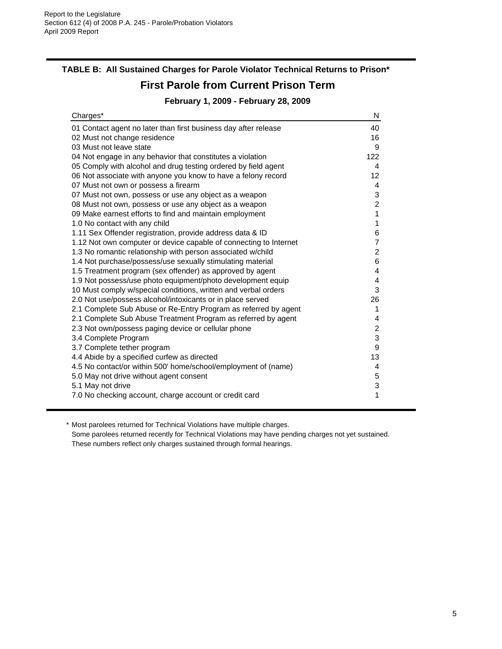## **TABLE B: All Sustained Charges for Parole Violator Technical Returns to Prison\***

## **First Parole from Current Prison Term**

### **February 1, 2009 - February 28, 2009**

| Charges*                                                          | N                       |
|-------------------------------------------------------------------|-------------------------|
| 01 Contact agent no later than first business day after release   | 40                      |
| 02 Must not change residence                                      | 16                      |
| 03 Must not leave state                                           | 9                       |
| 04 Not engage in any behavior that constitutes a violation        | 122                     |
| 05 Comply with alcohol and drug testing ordered by field agent    | 4                       |
| 06 Not associate with anyone you know to have a felony record     | 12                      |
| 07 Must not own or possess a firearm                              | 4                       |
| 07 Must not own, possess or use any object as a weapon            | 3                       |
| 08 Must not own, possess or use any object as a weapon            | $\overline{c}$          |
| 09 Make earnest efforts to find and maintain employment           | 1                       |
| 1.0 No contact with any child                                     | 1                       |
| 1.11 Sex Offender registration, provide address data & ID         | 6                       |
| 1.12 Not own computer or device capable of connecting to Internet | $\overline{7}$          |
| 1.3 No romantic relationship with person associated w/child       | $\overline{c}$          |
| 1.4 Not purchase/possess/use sexually stimulating material        | 6                       |
| 1.5 Treatment program (sex offender) as approved by agent         | 4                       |
| 1.9 Not possess/use photo equipment/photo development equip       | 4                       |
| 10 Must comply w/special conditions, written and verbal orders    | 3                       |
| 2.0 Not use/possess alcohol/intoxicants or in place served        | 26                      |
| 2.1 Complete Sub Abuse or Re-Entry Program as referred by agent   | 1                       |
| 2.1 Complete Sub Abuse Treatment Program as referred by agent     | 4                       |
| 2.3 Not own/possess paging device or cellular phone               | $\overline{\mathbf{c}}$ |
| 3.4 Complete Program                                              | 3                       |
| 3.7 Complete tether program                                       | $\boldsymbol{9}$        |
| 4.4 Abide by a specified curfew as directed                       | 13                      |
| 4.5 No contact/or within 500' home/school/employment of (name)    | 4                       |
| 5.0 May not drive without agent consent                           | 5                       |
| 5.1 May not drive                                                 | 3                       |
| 7.0 No checking account, charge account or credit card            | 1                       |

\* Most parolees returned for Technical Violations have multiple charges.

Some parolees returned recently for Technical Violations may have pending charges not yet sustained. These numbers reflect only charges sustained through formal hearings.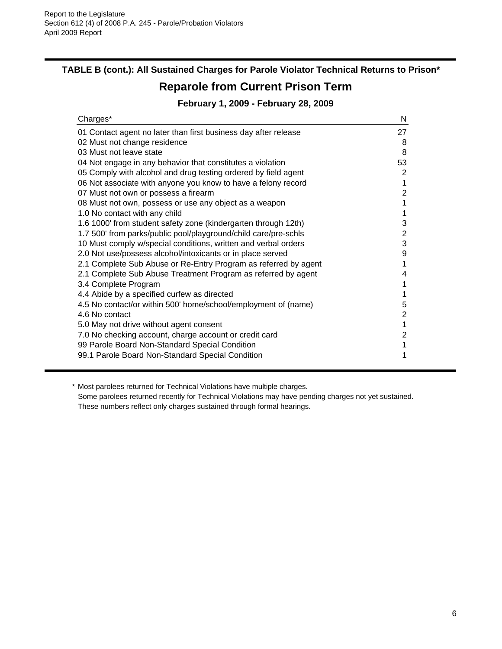## **TABLE B (cont.): All Sustained Charges for Parole Violator Technical Returns to Prison\***

## **Reparole from Current Prison Term**

### **February 1, 2009 - February 28, 2009**

| Charges*                                                        | N              |
|-----------------------------------------------------------------|----------------|
| 01 Contact agent no later than first business day after release | 27             |
| 02 Must not change residence                                    | 8              |
| 03 Must not leave state                                         | 8              |
| 04 Not engage in any behavior that constitutes a violation      | 53             |
| 05 Comply with alcohol and drug testing ordered by field agent  | 2              |
| 06 Not associate with anyone you know to have a felony record   | 1              |
| 07 Must not own or possess a firearm                            | $\overline{2}$ |
| 08 Must not own, possess or use any object as a weapon          | 1              |
| 1.0 No contact with any child                                   | 1              |
| 1.6 1000' from student safety zone (kindergarten through 12th)  | 3              |
| 1.7 500' from parks/public pool/playground/child care/pre-schls | 2              |
| 10 Must comply w/special conditions, written and verbal orders  | 3              |
| 2.0 Not use/possess alcohol/intoxicants or in place served      | 9              |
| 2.1 Complete Sub Abuse or Re-Entry Program as referred by agent |                |
| 2.1 Complete Sub Abuse Treatment Program as referred by agent   | 4              |
| 3.4 Complete Program                                            |                |
| 4.4 Abide by a specified curfew as directed                     |                |
| 4.5 No contact/or within 500' home/school/employment of (name)  | 5              |
| 4.6 No contact                                                  | 2              |
| 5.0 May not drive without agent consent                         | 1              |
| 7.0 No checking account, charge account or credit card          | 2              |
| 99 Parole Board Non-Standard Special Condition                  | 1              |
| 99.1 Parole Board Non-Standard Special Condition                |                |

\* Most parolees returned for Technical Violations have multiple charges. Some parolees returned recently for Technical Violations may have pending charges not yet sustained. These numbers reflect only charges sustained through formal hearings.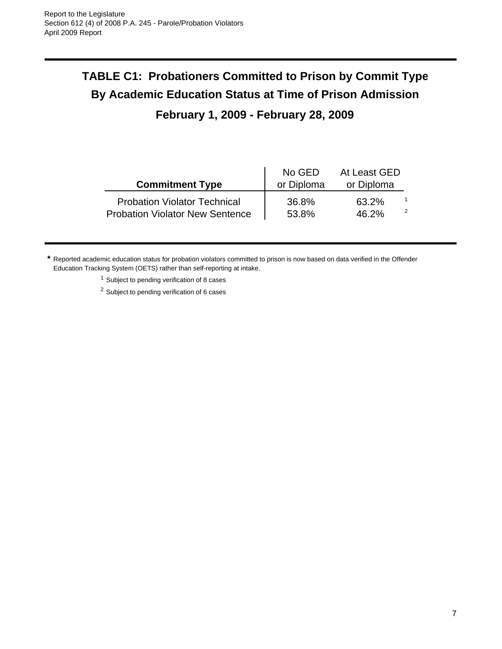# **TABLE C1: Probationers Committed to Prison by Commit Type By Academic Education Status at Time of Prison Admission**

## **February 1, 2009 - February 28, 2009**

| <b>Commitment Type</b>                 | No GED<br>or Diploma | At Least GED<br>or Diploma |   |
|----------------------------------------|----------------------|----------------------------|---|
| <b>Probation Violator Technical</b>    | 36.8%                | 63.2%                      | 2 |
| <b>Probation Violator New Sentence</b> | 53.8%                | 46.2%                      |   |

**\*** Reported academic education status for probation violators committed to prison is now based on data verified in the Offender Education Tracking System (OETS) rather than self-reporting at intake.

<sup>1</sup> Subject to pending verification of 8 cases

<sup>2</sup> Subject to pending verification of 6 cases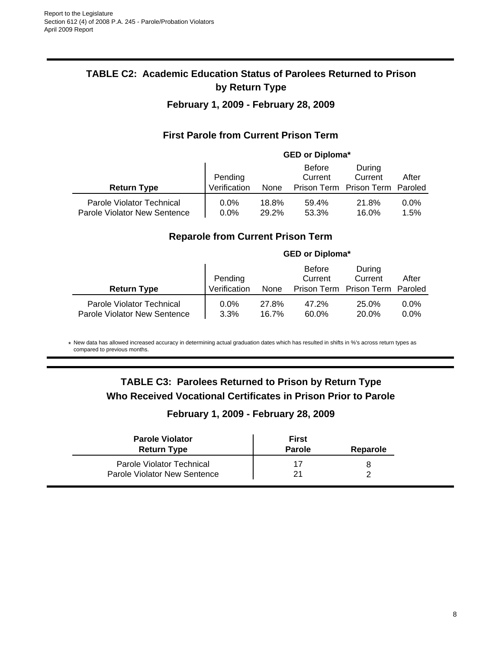## **TABLE C2: Academic Education Status of Parolees Returned to Prison by Return Type**

### **February 1, 2009 - February 28, 2009**

### **First Parole from Current Prison Term**

|                                                           | <b>GED or Diploma*</b> |                |                          |                                 |                 |
|-----------------------------------------------------------|------------------------|----------------|--------------------------|---------------------------------|-----------------|
|                                                           | Pending                |                | <b>Before</b><br>Current | During<br>Current               | After           |
| <b>Return Type</b>                                        | Verification           | None           |                          | Prison Term Prison Term Paroled |                 |
| Parole Violator Technical<br>Parole Violator New Sentence | $0.0\%$<br>$0.0\%$     | 18.8%<br>29.2% | 59.4%<br>53.3%           | 21.8%<br>16.0%                  | $0.0\%$<br>1.5% |

### **Reparole from Current Prison Term**

|                                                           | <b>GED or Diploma*</b>  |                |                          |                                                      |                    |
|-----------------------------------------------------------|-------------------------|----------------|--------------------------|------------------------------------------------------|--------------------|
| <b>Return Type</b>                                        | Pending<br>Verification | None           | <b>Before</b><br>Current | During<br>Current<br>Prison Term Prison Term Paroled | After              |
| Parole Violator Technical<br>Parole Violator New Sentence | $0.0\%$<br>3.3%         | 27.8%<br>16.7% | 47.2%<br>60.0%           | 25.0%<br>20.0%                                       | $0.0\%$<br>$0.0\%$ |

\* New data has allowed increased accuracy in determining actual graduation dates which has resulted in shifts in %'s across return types as compared to previous months.

## **TABLE C3: Parolees Returned to Prison by Return Type Who Received Vocational Certificates in Prison Prior to Parole**

### **February 1, 2009 - February 28, 2009**

| <b>Parole Violator</b><br><b>Return Type</b> | First<br><b>Parole</b> | Reparole |
|----------------------------------------------|------------------------|----------|
| Parole Violator Technical                    |                        |          |
| Parole Violator New Sentence                 | 21                     |          |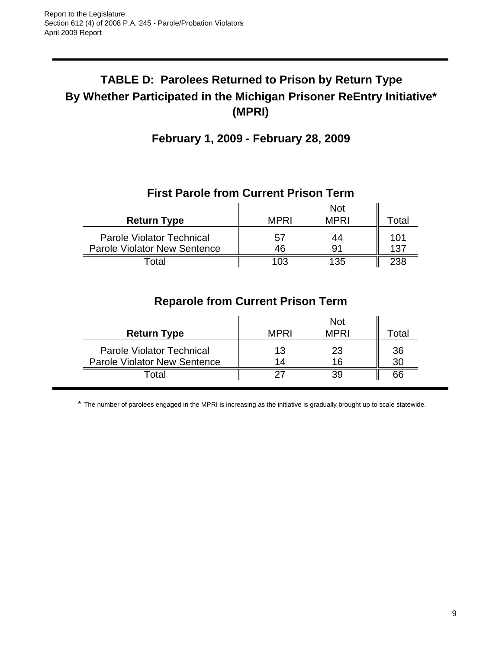## **TABLE D: Parolees Returned to Prison by Return Type By Whether Participated in the Michigan Prisoner ReEntry Initiative\* (MPRI)**

## **February 1, 2009 - February 28, 2009**

## **First Parole from Current Prison Term**

|                                     |      | <b>Not</b>  |       |
|-------------------------------------|------|-------------|-------|
| <b>Return Type</b>                  | MPRI | <b>MPRI</b> | ୮otal |
| <b>Parole Violator Technical</b>    | 57   | 44          | 101   |
| <b>Parole Violator New Sentence</b> | 46   | 91          | 137   |
| <sup>-</sup> otal                   | 103  | 135         | 238   |

## **Reparole from Current Prison Term**

| <b>Return Type</b>                                                      | <b>MPRI</b> | <b>Not</b><br><b>MPRI</b> | Total    |
|-------------------------------------------------------------------------|-------------|---------------------------|----------|
| <b>Parole Violator Technical</b><br><b>Parole Violator New Sentence</b> | 13<br>14    | 23<br>16                  | 36<br>30 |
| <sup>-</sup> otal                                                       | クラ          | 39                        | 66       |

\* The number of parolees engaged in the MPRI is increasing as the initiative is gradually brought up to scale statewide.